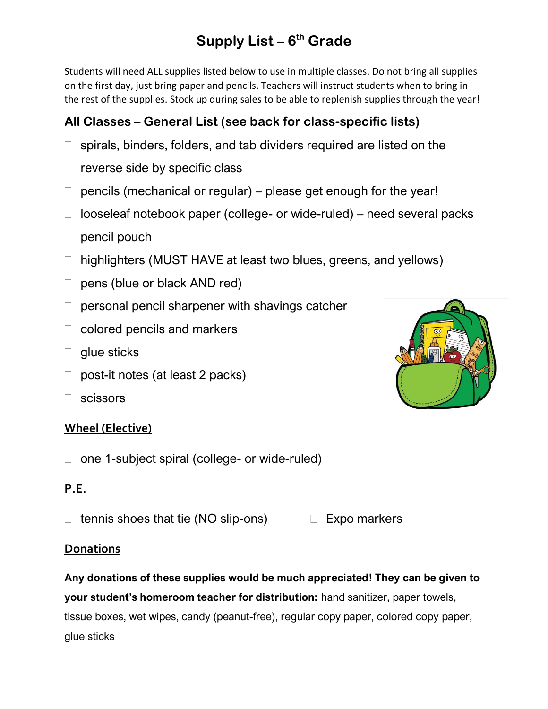# **Supply List – 6 th Grade**

Students will need ALL supplies listed below to use in multiple classes. Do not bring all supplies on the first day, just bring paper and pencils. Teachers will instruct students when to bring in the rest of the supplies. Stock up during sales to be able to replenish supplies through the year!

### **All Classes – General List (see back for class-specific lists)**

- $\Box$  spirals, binders, folders, and tab dividers required are listed on the reverse side by specific class
- $\Box$  pencils (mechanical or regular) please get enough for the year!
- $\Box$  looseleaf notebook paper (college- or wide-ruled) need several packs
- $\Box$  pencil pouch
- □ highlighters (MUST HAVE at least two blues, greens, and yellows)
- □ pens (blue or black AND red)
- $\Box$  personal pencil sharpener with shavings catcher
- $\Box$  colored pencils and markers
- $\Box$  glue sticks
- $\Box$  post-it notes (at least 2 packs)
- scissors

#### **Wheel (Elective)**

□ one 1-subject spiral (college- or wide-ruled)

#### **P.E.**

 $\Box$  tennis shoes that tie (NO slip-ons)  $\Box$  Expo markers

#### **Donations**

**Any donations of these supplies would be much appreciated! They can be given to your student's homeroom teacher for distribution:** hand sanitizer, paper towels, tissue boxes, wet wipes, candy (peanut-free), regular copy paper, colored copy paper, glue sticks

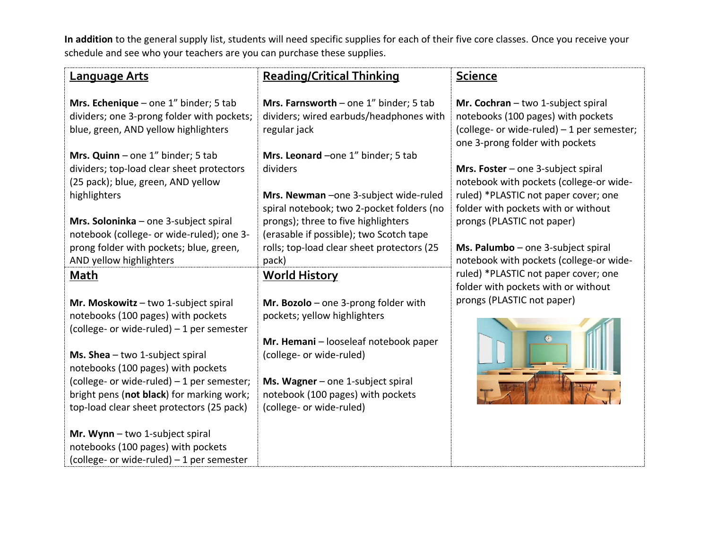**In addition** to the general supply list, students will need specific supplies for each of their five core classes. Once you receive your schedule and see who your teachers are you can purchase these supplies.

| <b>Language Arts</b>                                                                                                                   | <b>Reading/Critical Thinking</b>                                                                                                                                          | <u>Science</u>                                                                                                                                            |
|----------------------------------------------------------------------------------------------------------------------------------------|---------------------------------------------------------------------------------------------------------------------------------------------------------------------------|-----------------------------------------------------------------------------------------------------------------------------------------------------------|
| Mrs. Echenique – one $1''$ binder; 5 tab<br>dividers; one 3-prong folder with pockets;<br>blue, green, AND yellow highlighters         | Mrs. Farnsworth - one $1''$ binder; 5 tab<br>dividers; wired earbuds/headphones with<br>regular jack                                                                      | Mr. Cochran - two 1-subject spiral<br>notebooks (100 pages) with pockets<br>(college- or wide-ruled) - 1 per semester;<br>one 3-prong folder with pockets |
| Mrs. Quinn $-$ one 1" binder; 5 tab<br>dividers; top-load clear sheet protectors<br>(25 pack); blue, green, AND yellow<br>highlighters | Mrs. Leonard -one 1" binder; 5 tab<br>dividers<br>Mrs. Newman - one 3-subject wide-ruled                                                                                  | Mrs. Foster $-$ one 3-subject spiral<br>notebook with pockets (college-or wide-<br>ruled) *PLASTIC not paper cover; one                                   |
| Mrs. Soloninka - one 3-subject spiral<br>notebook (college- or wide-ruled); one 3-<br>prong folder with pockets; blue, green,          | spiral notebook; two 2-pocket folders (no<br>prongs); three to five highlighters<br>(erasable if possible); two Scotch tape<br>rolls; top-load clear sheet protectors (25 | folder with pockets with or without<br>prongs (PLASTIC not paper)<br>Ms. Palumbo - one 3-subject spiral                                                   |
| AND yellow highlighters<br><b>Math</b>                                                                                                 | pack)<br><b>World History</b>                                                                                                                                             | notebook with pockets (college-or wide-<br>ruled) *PLASTIC not paper cover; one<br>folder with pockets with or without                                    |
| Mr. Moskowitz - two 1-subject spiral<br>notebooks (100 pages) with pockets<br>(college- or wide-ruled) - 1 per semester                | Mr. Bozolo - one 3-prong folder with<br>pockets; yellow highlighters                                                                                                      | prongs (PLASTIC not paper)                                                                                                                                |
| Ms. Shea $-$ two 1-subject spiral<br>notebooks (100 pages) with pockets<br>(college- or wide-ruled) - 1 per semester;                  | Mr. Hemani - looseleaf notebook paper<br>(college- or wide-ruled)<br>Ms. Wagner $-$ one 1-subject spiral                                                                  |                                                                                                                                                           |
| bright pens (not black) for marking work;<br>top-load clear sheet protectors (25 pack)                                                 | notebook (100 pages) with pockets<br>(college- or wide-ruled)                                                                                                             |                                                                                                                                                           |
| Mr. Wynn - two 1-subject spiral<br>notebooks (100 pages) with pockets<br>(college- or wide-ruled) - 1 per semester                     |                                                                                                                                                                           |                                                                                                                                                           |